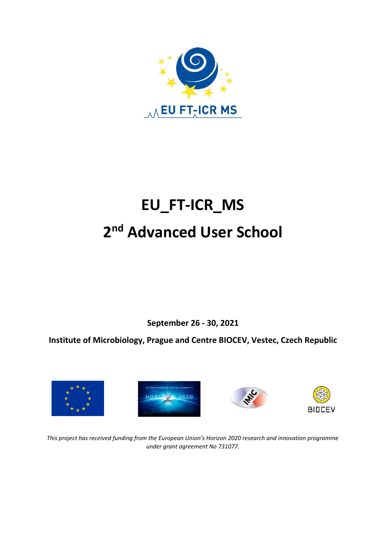

# **EU\_FT-ICR\_MS 2 nd Advanced User School**

**September 26 - 30, 2021**

**Institute of Microbiology, Prague and Centre BIOCEV, Vestec, Czech Republic**









*This project has received funding from the European Union's Horizon 2020 research and innovation programme under grant agreement No 731077.*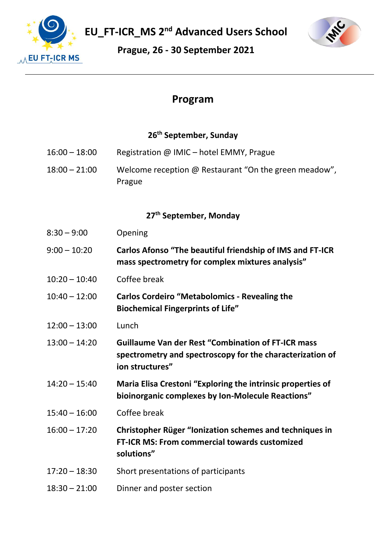

**EU\_FT-ICR\_MS 2 nd Advanced Users School**



**Prague, 26 - 30 September 2021**

## **Program**

## **26th September, Sunday**

- 16:00 18:00 Registration @ IMIC hotel EMMY, Prague
- 18:00 21:00 Welcome reception @ Restaurant "On the green meadow", Prague

## **27th September, Monday**

- 8:30 9:00 Opening
- 9:00 10:20 **Carlos Afonso "The beautiful friendship of IMS and FT-ICR mass spectrometry for complex mixtures analysis"**
- 10:20 10:40 Coffee break
- 10:40 12:00 **Carlos Cordeiro "Metabolomics - Revealing the Biochemical Fingerprints of Life"**
- 12:00 13:00 Lunch
- 13:00 14:20 **Guillaume Van der Rest "Combination of FT-ICR mass spectrometry and spectroscopy for the characterization of ion structures"**
- 14:20 15:40 **Maria Elisa Crestoni "Exploring the intrinsic properties of bioinorganic complexes by Ion-Molecule Reactions"**
- 15:40 16:00 Coffee break
- 16:00 17:20 **Christopher Rüger "Ionization schemes and techniques in FT-ICR MS: From commercial towards customized solutions"**
- 17:20 18:30 Short presentations of participants
- 18:30 21:00 Dinner and poster section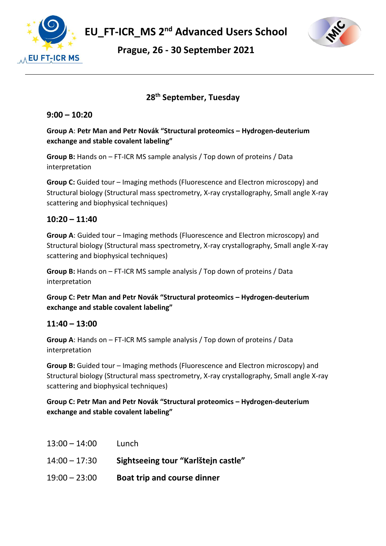

**EU\_FT-ICR\_MS 2 nd Advanced Users School**

**Prague, 26 - 30 September 2021**

# **28th September, Tuesday**

#### **9:00 – 10:20**

#### **Group A**: **Petr Man and Petr Novák "Structural proteomics – Hydrogen-deuterium exchange and stable covalent labeling"**

**Group B:** Hands on – FT-ICR MS sample analysis / Top down of proteins / Data interpretation

**Group C:** Guided tour – Imaging methods (Fluorescence and Electron microscopy) and Structural biology (Structural mass spectrometry, X-ray crystallography, Small angle X-ray scattering and biophysical techniques)

#### **10:20 – 11:40**

**Group A**: Guided tour – Imaging methods (Fluorescence and Electron microscopy) and Structural biology (Structural mass spectrometry, X-ray crystallography, Small angle X-ray scattering and biophysical techniques)

**Group B:** Hands on – FT-ICR MS sample analysis / Top down of proteins / Data interpretation

**Group C: Petr Man and Petr Novák "Structural proteomics – Hydrogen-deuterium exchange and stable covalent labeling"**

#### **11:40 – 13:00**

**Group A**: Hands on – FT-ICR MS sample analysis / Top down of proteins / Data interpretation

**Group B:** Guided tour – Imaging methods (Fluorescence and Electron microscopy) and Structural biology (Structural mass spectrometry, X-ray crystallography, Small angle X-ray scattering and biophysical techniques)

#### **Group C: Petr Man and Petr Novák "Structural proteomics – Hydrogen-deuterium exchange and stable covalent labeling"**

| $13:00 - 14:00$ | Lunch                               |
|-----------------|-------------------------------------|
| $14:00 - 17:30$ | Sightseeing tour "Karlštejn castle" |
| $19:00 - 23:00$ | Boat trip and course dinner         |